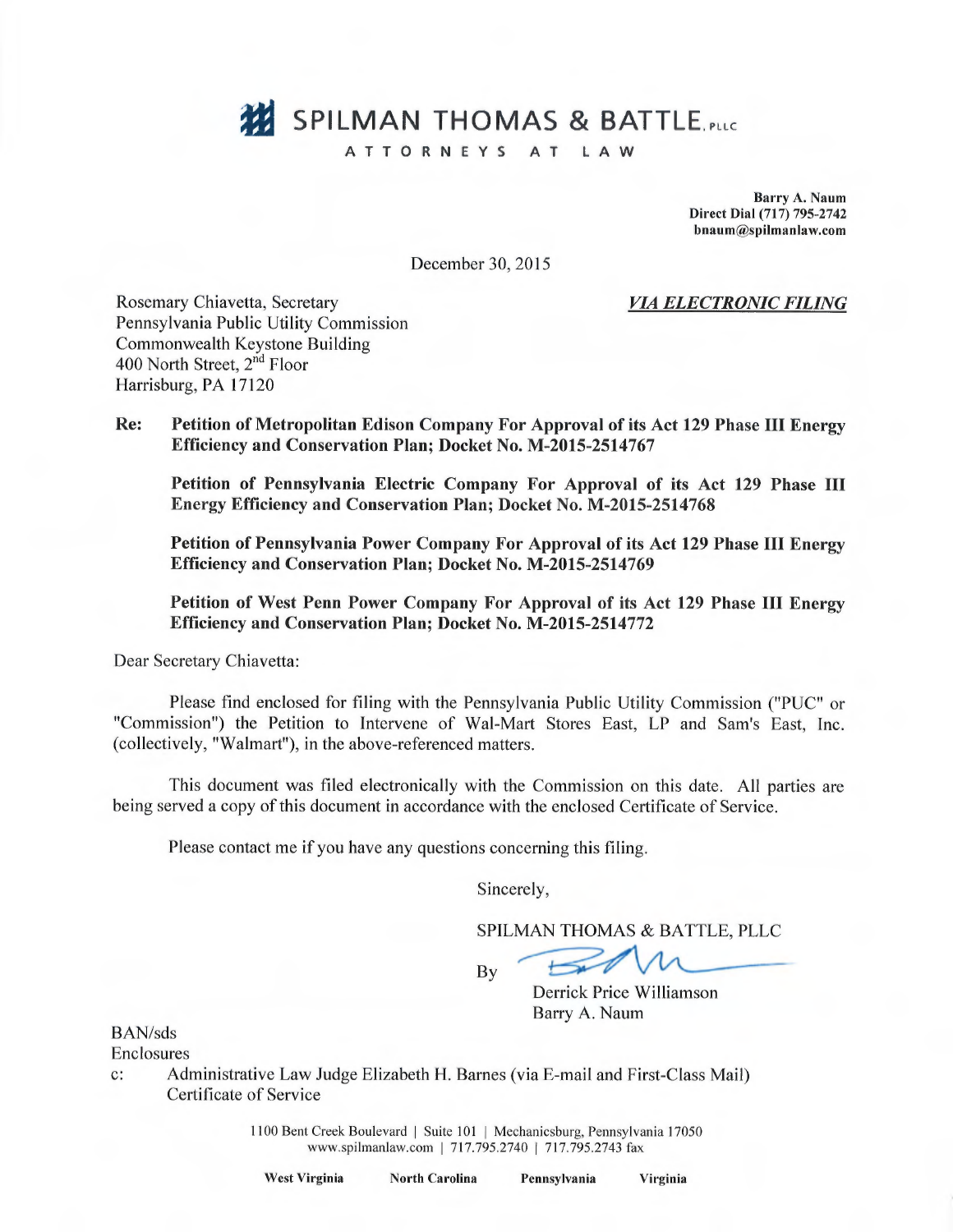# **328** SPILMAN THOMAS & BATTLE, PLC

#### ATTORNEYS AT LAW

Barry A. Naum Direct Dial (717) 795-2742 bnaum@spilmanlaw.com

December 30, 2015

VL4 ELECTRONIC FILING

Rosemary Chiavetta, Secretary Pennsylvania Public Utility Commission Commonwealth Keystone Building 400 North Street, 2<sup>nd</sup> Floor Harrisburg, PA 17120

Re: Petition of Metropolitan Edison Company For Approval of its Act 129 Phase III Energy Efficiency and Conservation Plan; Docket No. M-2015-2514767

Petition of Pennsylvania Electric Company For Approval of its Act 129 Phase III Energy Efficiency and Conservation Plan; Docket No. M-2015-2514768

Petition of Pennsylvania Power Company For Approval of its Act 129 Phase III Energy Efficiency and Conservation Plan; Docket No. M-2015-2514769

Petition of West Penn Power Company For Approval of its Act 129 Phase III Energy Efficiency and Conservation Plan; Docket No. M-2015-2514772

Dear Secretary Chiavetta:

Please find enclosed for filing with the Pennsylvania Public Utility Commission ("PUC" or "Commission") the Petition to Intervene of Wal-Mart Stores East, LP and Sam's East, Inc. (collectively, "Walmart"), in the above-referenced matters.

This document was filed electronically with the Commission on this date. A11 parties are being served a copy of this document in accordance with the enclosed Certificate of Service.

Please contact me if you have any questions concerning this filing.

Sincerely,

SPILMAN THOMAS & BATTLE, PLLC

By

Derrick Price Williamson Barry A. Naum

BAN/sds

Enclosures

c: Administrative Law Judge Elizabeth H. Barnes (via E-mail and First-Class Mail) Certificate of Service

> 1100 Bent Creek Boulevard | Suite 101 | Mechanicsburg, Pennsylvania 17050 www.spilmanlaw.com | 717.795.2740 | 717.795.2743 fax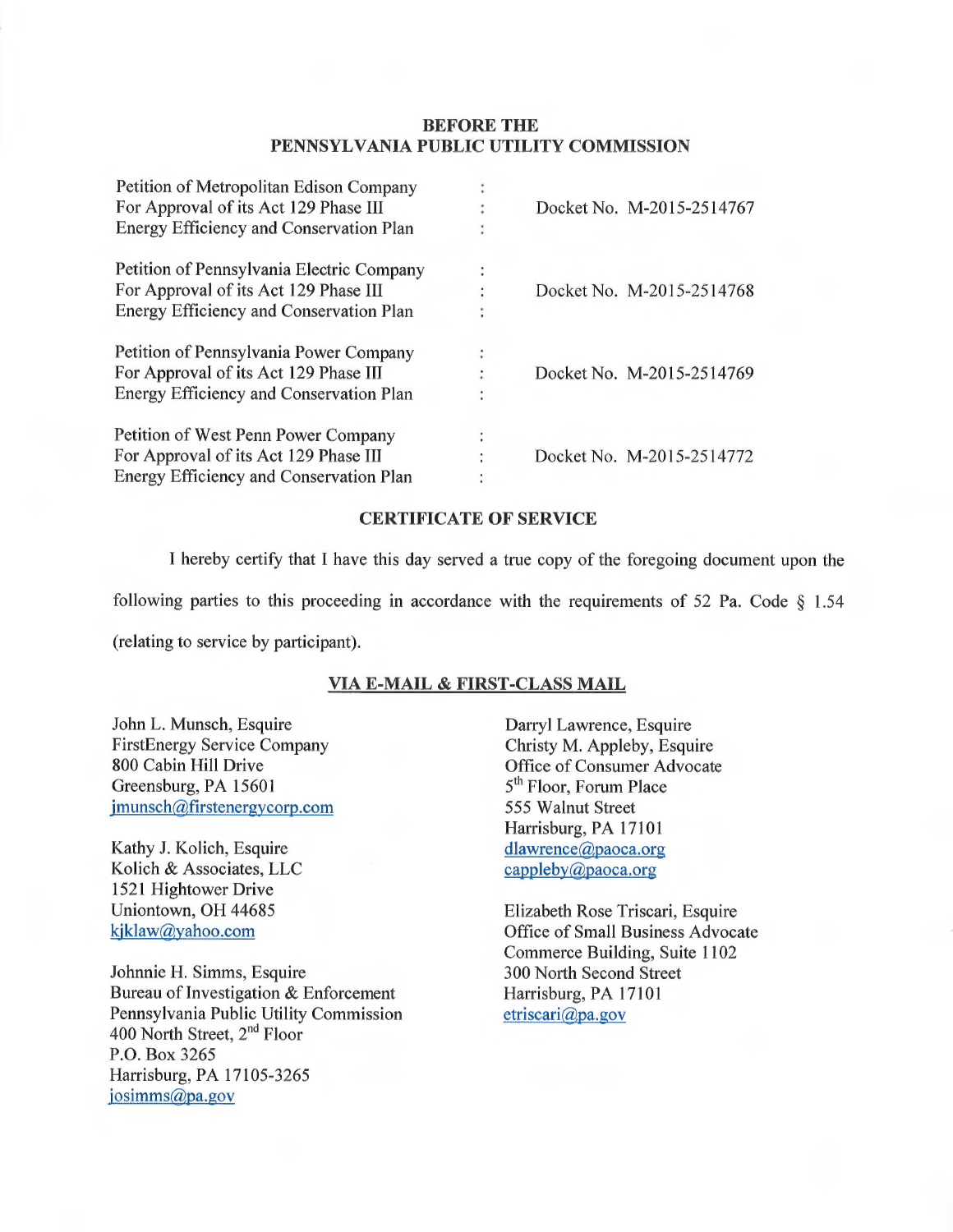#### BEFORE THE PENNSYLVANIA PUBLIC UTILITY COMMISSION

| Petition of Metropolitan Edison Company   |   |                           |
|-------------------------------------------|---|---------------------------|
| For Approval of its Act 129 Phase III     |   | Docket No. M-2015-2514767 |
| Energy Efficiency and Conservation Plan   | ٠ |                           |
| Petition of Pennsylvania Electric Company | ä |                           |
| For Approval of its Act 129 Phase III     |   | Docket No. M-2015-2514768 |
| Energy Efficiency and Conservation Plan   |   |                           |
| Petition of Pennsylvania Power Company    | ٠ |                           |
| For Approval of its Act 129 Phase III     |   | Docket No. M-2015-2514769 |
| Energy Efficiency and Conservation Plan   |   |                           |
| Petition of West Penn Power Company       |   |                           |
| For Approval of its Act 129 Phase III     |   | Docket No. M-2015-2514772 |
| Energy Efficiency and Conservation Plan   |   |                           |

#### CERTIFICATE OF SERVICE

I hereby certify that I have this day served a true copy of the foregoing document upon the

following parties to this proceeding in accordance with the requirements of 52 Pa. Code  $\S$  1.54

(relating to service by participant).

#### VIA E-MAIL & FIRST-CLASS MAIL

John L. Munsch, Esquire FirstEnergy Service Company 800 Cabin Hill Drive Greensburg, PA 15601 jmunsch@firstenergycorp.com

Kathy J. Kolich, Esquire Kolich & Associates, LLC 1521 Hightower Drive Uniontown, OH 44685 kjklaw@yahoo.com

Johnnie H. Simms, Esquire Bureau of Investigation & Enforcement Pennsylvania Public Utility Commission 400 North Street, 2<sup>nd</sup> Floor P.O. Box 3265 Harrisburg, PA 17105-3265 josimms@pa.gov

Darryl Lawrence, Esquire Christy M. Appleby, Esquire Office of Consumer Advocate 5<sup>th</sup> Floor, Forum Place 555 Walnut Street Harrisburg, PA 17101 dlawrence@paoca.org cappleby@paoca.org

Elizabeth Rose Triscari, Esquire Office of Small Business Advocate Commerce Building, Suite 1102 300 North Second Street Harrisburg, PA 17101 etriscari@pa.gov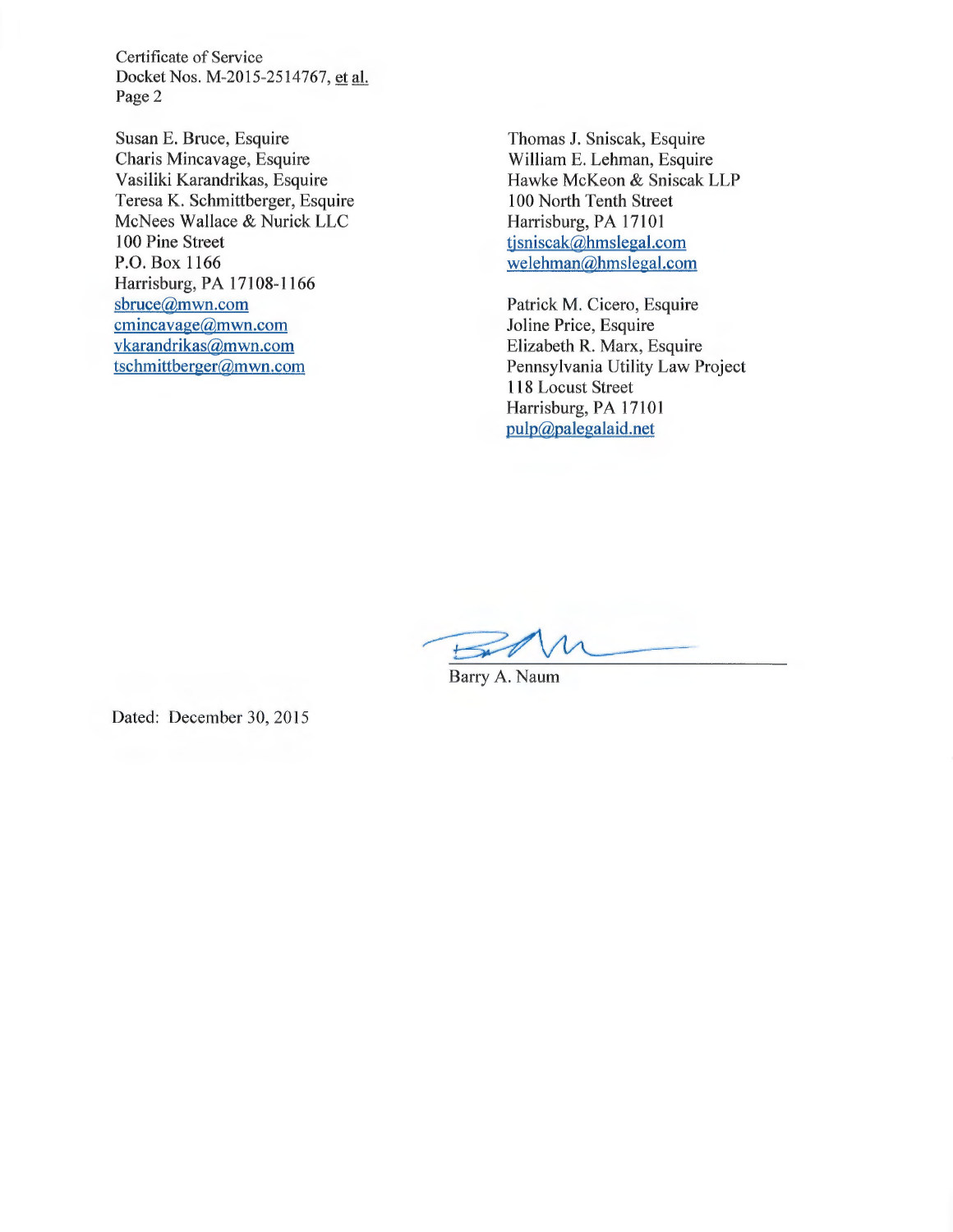Certificate of Service Docket Nos. M-2015-2514767, et al. Page 2

Susan E. Bruce, Esquire Charis Mincavage, Esquire Vasiliki Karandrikas, Esquire Teresa K. Schmittberger, Esquire McNees Wallace & Nurick LLC 100 Pine Street P.O. Box 1166 Harrisburg, PA 17108-1166 sbruce@mwn.com cmincavage@mwn.com vkarandrikas@mwn.com tschmittberger@mwn.com

Thomas J. Sniscak, Esquire William E. Lehman, Esquire Hawke McKeon & Sniscak LLP 100 North Tenth Street Harrisburg, PA 17101 tjsniscak@hmslegal.com welehman@hmslegal.com

Patrick M. Cicero, Esquire Joline Price, Esquire Elizabeth R. Marx, Esquire Pennsylvania Utility Law Project 118 Locust Street Harrisburg, PA 17101 pulp@palegalaid.net

 $\overline{\phantom{a}}$  $\mapsto$ 

Barry A. Naum

Dated: December 30, 2015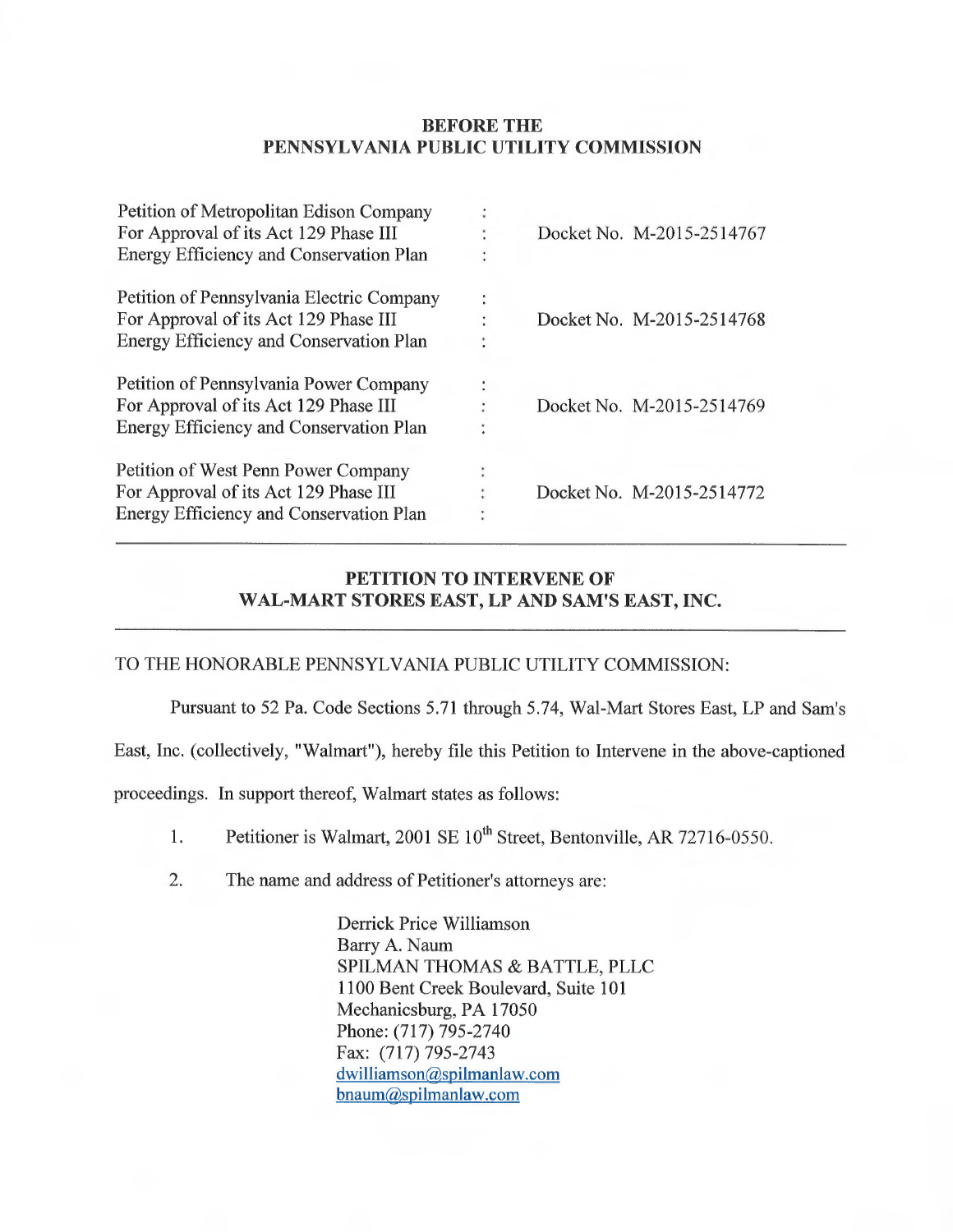## BEFORE THE PENNSYLVANIA PUBLIC UTILITY COMMISSION

|              | Docket No. M-2015-2514767 |  |
|--------------|---------------------------|--|
|              |                           |  |
| $\mathbf{r}$ |                           |  |
|              | Docket No. M-2015-2514768 |  |
|              |                           |  |
|              |                           |  |
|              | Docket No. M-2015-2514769 |  |
|              |                           |  |
|              |                           |  |
|              | Docket No. M-2015-2514772 |  |
|              |                           |  |
|              |                           |  |

# PETITION TO INTERVENE OF WAL-MART STORES EAST, LP AND SAM'S EAST, INC.

## TO THE HONORABLE PENNSYLVANIA PUBLIC UTILITY COMMISSION:

Pursuant to 52 Pa. Code Sections 5.71 through 5.74, Wal-Mart Stores East, LP and Sam's

East, Inc. (collectively, "Walmart"), hereby file this Petition to Intervene in the above-captioned

proceedings. In support thereof, Walmart states as follows:

1. Petitioner is Walmart, 2001 SE 10<sup>th</sup> Street, Bentonville, AR 72716-0550.

2. The name and address of Petitioner's attorneys are:

Derrick Price Williamson Barry A. Naum SPILMAN THOMAS & BATTLE, PLLC 1100 Bent Creek Boulevard, Suite 101 Mechanicsburg, PA 17050 Phone: (717) 795-2740 Fax: (717) 795-2743 dwilliamson@spilmanlaw.com bnaum@spilmanlaw.com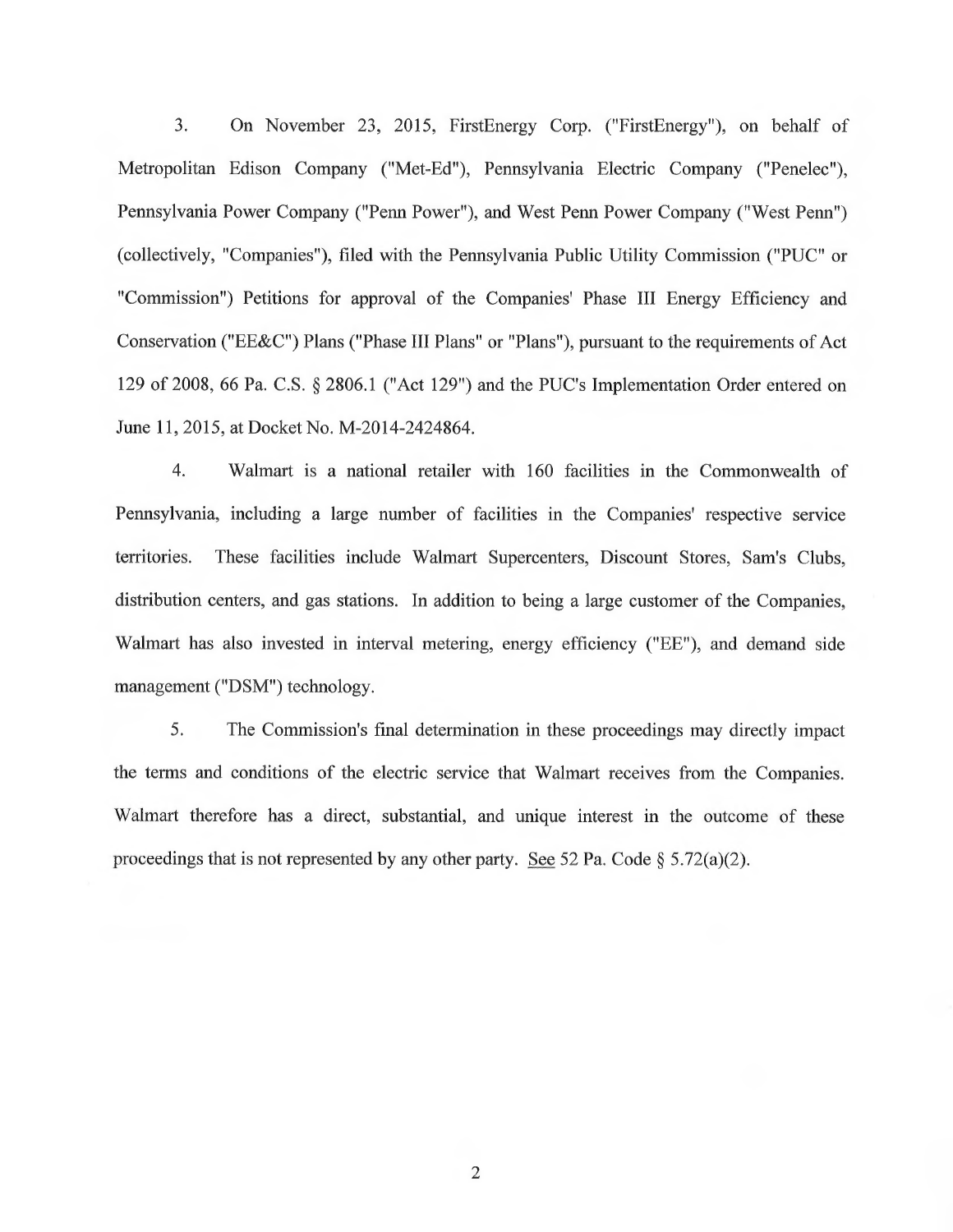3. On November 23, 2015, FirstEnergy Corp. ("FirstEnergy"), on behalf of Metropolitan Edison Company ("Met-Ed"), Pennsylvania Electric Company ("Penelec"), Pennsylvania Power Company ("Penn Power"), and West Penn Power Company ("West Penn") (collectively, "Companies"), filed with the Pennsylvania Public Utility Commission ("PUC" or "Commission") Petitions for approval of the Companies' Phase III Energy Efficiency and Conservation ("EE&C") Plans ("Phase III Plans" or "Plans"), pursuant to the requirements of Act 129 of 2008, 66 Pa. C.S. § 2806.1 ("Act 129") and the PUC's Implementation Order entered on June 11, 2015, at Docket No. M-2014-2424864.

4. Walmart is a national retailer with 160 facilities in the Commonwealth of Pennsylvania, including a large number of facilities in the Companies' respective service territories. These facilities include Walmart Supercenters, Discount Stores, Sam's Clubs, distribution centers, and gas stations. In addition to being a large customer of the Companies, Walmart has also invested in interval metering, energy efficiency ("EE"), and demand side management ("DSM") technology.

5. The Commission's final determination in these proceedings may directly impact the terms and conditions of the electric service that Walmart receives from the Companies. Walmart therefore has a direct, substantial, and unique interest in the outcome of these proceedings that is not represented by any other party. See 52 Pa. Code  $\S$  5.72(a)(2).

2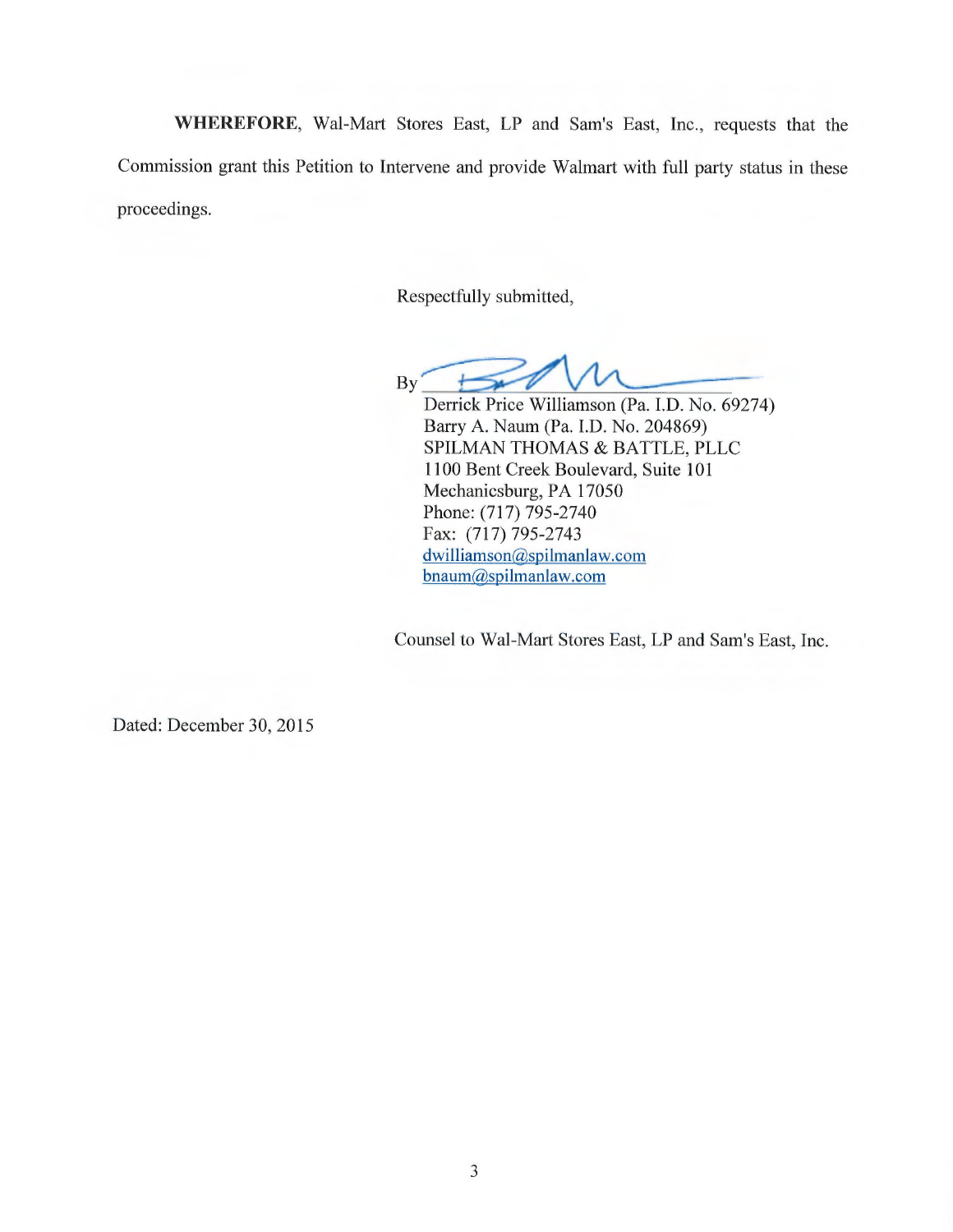WHEREFORE, Wal-Mart Stores East, LP and Sam's East, Inc., requests that the Commission grant this Petition to Intervene and provide Walmart with full party status in these proceedings.

Respectfully submitted,

 $By'$  $\overline{\phantom{a}}$ 

Derrick Price Williamson (Pa. I.D. No. 69274) Barry A. Naum (Pa. I.D. No. 204869) SPILMAN THOMAS & BATTLE, PLLC 1100 Bent Creek Boulevard, Suite 101 Mechanicsburg, PA 17050 Phone: (717) 795-2740 Fax: (717) 795-2743 dwilliamson@spilmanlaw.com bnaum@spilmanlaw.com

Counsel to Wal-Mart Stores East, LP and Sam's East, Inc.

Dated: December 30, 2015